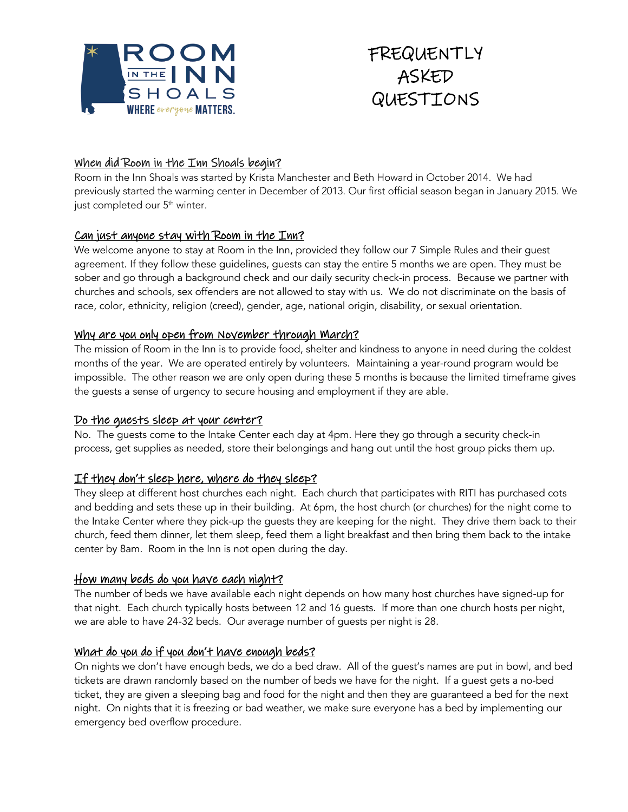



## When did Room in the Inn Shoals begin?

Room in the Inn Shoals was started by Krista Manchester and Beth Howard in October 2014. We had previously started the warming center in December of 2013. Our first official season began in January 2015. We just completed our 5<sup>th</sup> winter.

### Can just anyone stay with Room in the Inn?

We welcome anyone to stay at Room in the Inn, provided they follow our 7 Simple Rules and their guest agreement. If they follow these guidelines, guests can stay the entire 5 months we are open. They must be sober and go through a background check and our daily security check-in process. Because we partner with churches and schools, sex offenders are not allowed to stay with us. We do not discriminate on the basis of race, color, ethnicity, religion (creed), gender, age, national origin, disability, or sexual orientation.

#### Why are you only open from November through March?

The mission of Room in the Inn is to provide food, shelter and kindness to anyone in need during the coldest months of the year. We are operated entirely by volunteers. Maintaining a year-round program would be impossible. The other reason we are only open during these 5 months is because the limited timeframe gives the guests a sense of urgency to secure housing and employment if they are able.

#### Do the guests sleep at your center?

No. The guests come to the Intake Center each day at 4pm. Here they go through a security check-in process, get supplies as needed, store their belongings and hang out until the host group picks them up.

## If they don't sleep here, where do they sleep?

They sleep at different host churches each night. Each church that participates with RITI has purchased cots and bedding and sets these up in their building. At 6pm, the host church (or churches) for the night come to the Intake Center where they pick-up the guests they are keeping for the night. They drive them back to their church, feed them dinner, let them sleep, feed them a light breakfast and then bring them back to the intake center by 8am. Room in the Inn is not open during the day.

#### How many beds do you have each night?

The number of beds we have available each night depends on how many host churches have signed-up for that night. Each church typically hosts between 12 and 16 guests. If more than one church hosts per night, we are able to have 24-32 beds. Our average number of guests per night is 28.

#### What do you do if you don't have enough beds?

On nights we don't have enough beds, we do a bed draw. All of the guest's names are put in bowl, and bed tickets are drawn randomly based on the number of beds we have for the night. If a guest gets a no-bed ticket, they are given a sleeping bag and food for the night and then they are guaranteed a bed for the next night. On nights that it is freezing or bad weather, we make sure everyone has a bed by implementing our emergency bed overflow procedure.